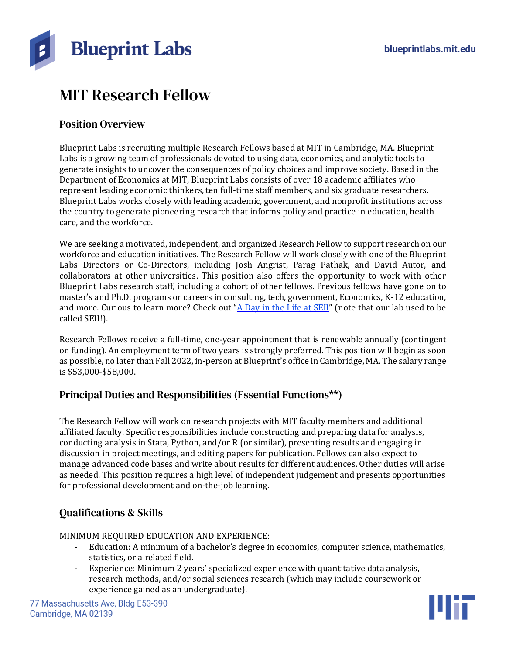

# MIT Research Fellow

#### Position Overview

[Blueprint](https://blueprintlabs.mit.edu/) Labs is recruiting multiple Research Fellows based at MIT in Cambridge, MA. Blueprint Labs is a growing team of professionals devoted to using data, economics, and analytic tools to generate insights to uncover the consequences of policy choices and improve society. Based in the Department of Economics at MIT, Blueprint Labs consists of over 18 academic affiliates who represent leading economic thinkers, ten full-time staff members, and six graduate researchers. Blueprint Labs works closely with leading academic, government, and nonprofit institutions across the country to generate pioneering research that informs policy and practice in education, health care, and the workforce.

We are seeking a motivated, independent, and organized Research Fellow to support research on our workforce and education initiatives. The Research Fellow will work closely with one of the Blueprint Labs Directors or Co-Directors, including Josh [Angrist,](https://blueprintlabs.mit.edu/team/joshua-angrist/) Parag [Pathak,](https://blueprintlabs.mit.edu/team/parag-pathak/) and David [Autor,](https://blueprintlabs.mit.edu/team/david-autor/) and collaborators at other universities. This position also offers the opportunity to work with other Blueprint Labs research staff, including a cohort of other fellows. Previous fellows have gone on to master's and Ph.D. programs or careers in consulting, tech, government, Economics, K-12 education, and more. Curious to learn more? Check out "A Day in the Life at [SEII](https://youtu.be/QKBcOVyGynE)" (note that our lab used to be called SEII!).

Research Fellows receive a full-time, one-year appointment that is renewable annually (contingent on funding). An employment term of two years is strongly preferred. This position will begin as soon as possible, no later than Fall 2022, in-person at Blueprint's office in Cambridge, MA. The salary range is \$53,000-\$58,000.

# Principal Duties and Responsibilities (Essential Functions\*\*)

The Research Fellow will work on research projects with MIT faculty members and additional affiliated faculty. Specific responsibilities include constructing and preparing data for analysis, conducting analysis in Stata, Python, and/or R (or similar), presenting results and engaging in discussion in project meetings, and editing papers for publication. Fellows can also expect to manage advanced code bases and write about results for different audiences. Other duties will arise as needed. This position requires a high level of independent judgement and presents opportunities for professional development and on-the-job learning.

# Qualifications & Skills

MINIMUM REQUIRED EDUCATION AND EXPERIENCE:

- Education: A minimum of a bachelor's degree in economics, computer science, mathematics, statistics, or a related field.
- Experience: Minimum 2 years' specialized experience with quantitative data analysis, research methods, and/or social sciences research (which may include coursework or experience gained as an undergraduate).

77 Massachusetts Ave, Bldg E53-390 Cambridge, MA 02139